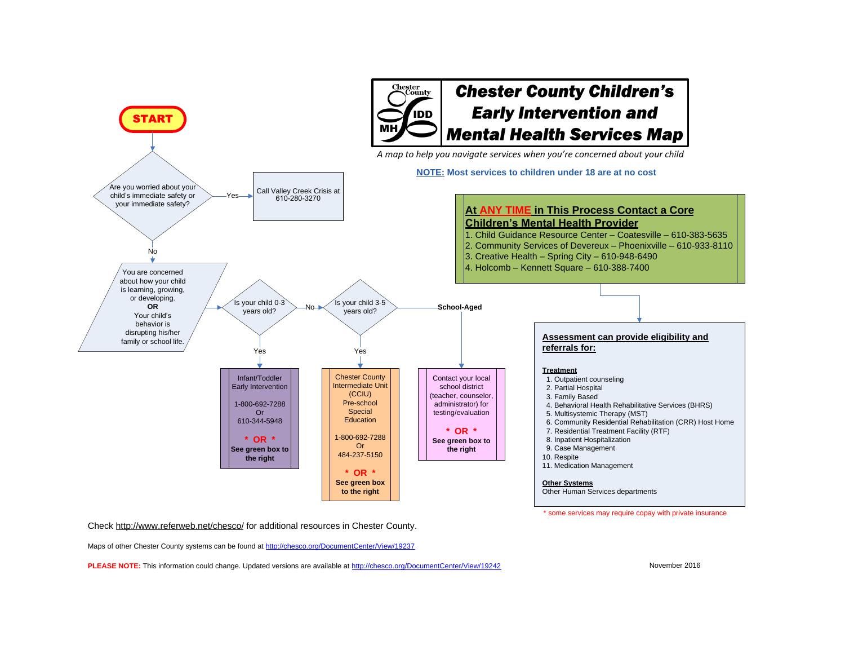

Check http://www.referweb.net/chesco/ for additional resources in Chester County.

Maps of other Chester County systems can be found at http://chesco.org/DocumentCenter/View/19237

**PLEASE NOTE:** This information could change. Updated versions are available at http://chesco.org/DocumentCenter/View/19242

November 2016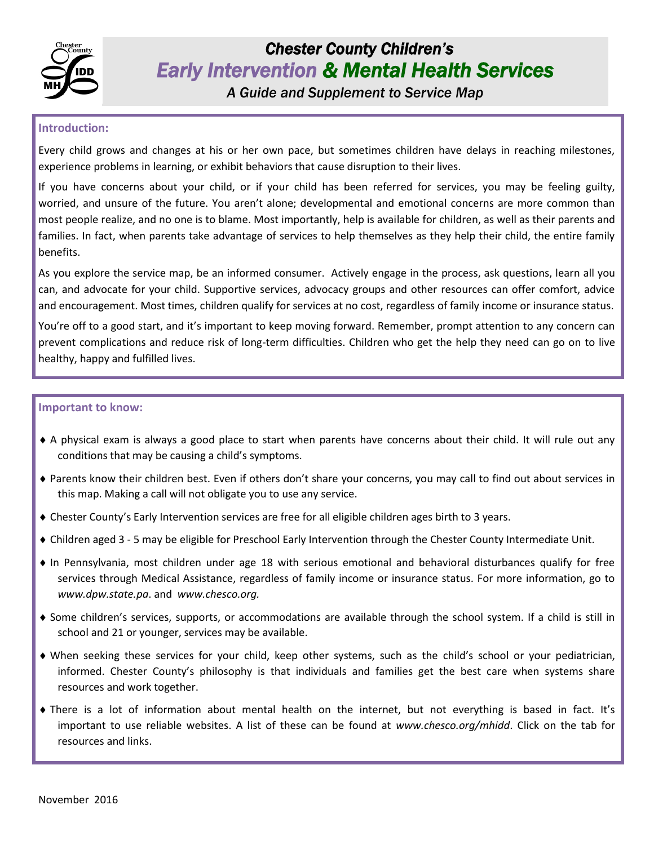

# *Chester County Children's Early Intervention & Mental Health Services*

*A Guide and Supplement to Service Map* 

### **Introduction:**

Every child grows and changes at his or her own pace, but sometimes children have delays in reaching milestones, experience problems in learning, or exhibit behaviors that cause disruption to their lives.

If you have concerns about your child, or if your child has been referred for services, you may be feeling guilty, worried, and unsure of the future. You aren't alone; developmental and emotional concerns are more common than most people realize, and no one is to blame. Most importantly, help is available for children, as well as their parents and families. In fact, when parents take advantage of services to help themselves as they help their child, the entire family benefits.

As you explore the service map, be an informed consumer. Actively engage in the process, ask questions, learn all you can, and advocate for your child. Supportive services, advocacy groups and other resources can offer comfort, advice and encouragement. Most times, children qualify for services at no cost, regardless of family income or insurance status.

You're off to a good start, and it's important to keep moving forward. Remember, prompt attention to any concern can prevent complications and reduce risk of long-term difficulties. Children who get the help they need can go on to live healthy, happy and fulfilled lives.

#### **Important to know:**

- A physical exam is always a good place to start when parents have concerns about their child. It will rule out any conditions that may be causing a child's symptoms.
- Parents know their children best. Even if others don't share your concerns, you may call to find out about services in this map. Making a call will not obligate you to use any service.
- Chester County's Early Intervention services are free for all eligible children ages birth to 3 years.
- Children aged 3 5 may be eligible for Preschool Early Intervention through the Chester County Intermediate Unit.
- In Pennsylvania, most children under age 18 with serious emotional and behavioral disturbances qualify for free services through Medical Assistance, regardless of family income or insurance status. For more information, go to *www.dpw.state.pa*. and *www.chesco.org.*
- Some children's services, supports, or accommodations are available through the school system. If a child is still in school and 21 or younger, services may be available.
- When seeking these services for your child, keep other systems, such as the child's school or your pediatrician, informed. Chester County's philosophy is that individuals and families get the best care when systems share resources and work together.
- There is a lot of information about mental health on the internet, but not everything is based in fact. It's important to use reliable websites. A list of these can be found at *www.chesco.org/mhidd*. Click on the tab for resources and links.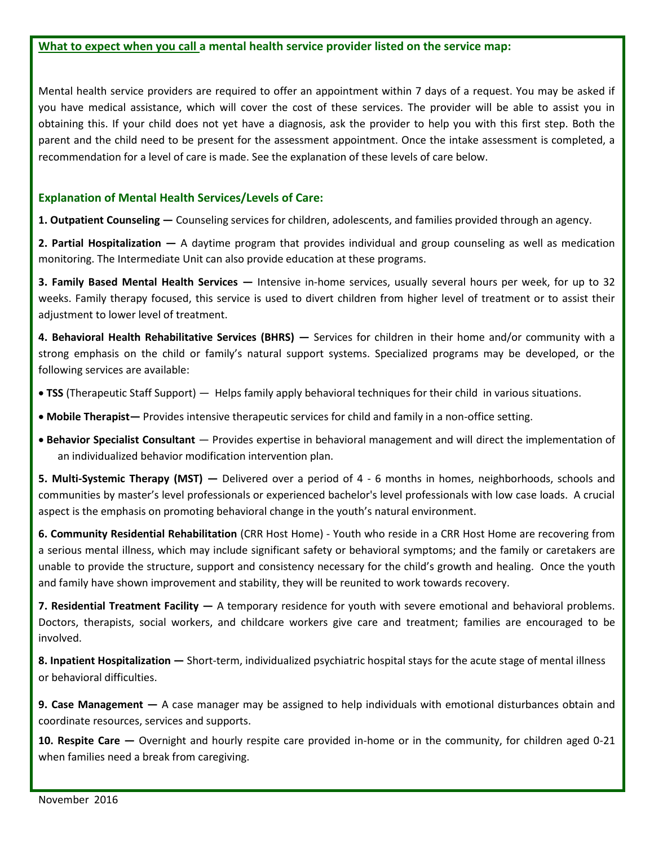#### **What to expect when you call a mental health service provider listed on the service map:**

Mental health service providers are required to offer an appointment within 7 days of a request. You may be asked if you have medical assistance, which will cover the cost of these services. The provider will be able to assist you in obtaining this. If your child does not yet have a diagnosis, ask the provider to help you with this first step. Both the parent and the child need to be present for the assessment appointment. Once the intake assessment is completed, a recommendation for a level of care is made. See the explanation of these levels of care below.

### **Explanation of Mental Health Services/Levels of Care:**

**1. Outpatient Counseling —** Counseling services for children, adolescents, and families provided through an agency.

**2. Partial Hospitalization —** A daytime program that provides individual and group counseling as well as medication monitoring. The Intermediate Unit can also provide education at these programs.

**3. Family Based Mental Health Services —** Intensive in-home services, usually several hours per week, for up to 32 weeks. Family therapy focused, this service is used to divert children from higher level of treatment or to assist their adjustment to lower level of treatment.

**4. Behavioral Health Rehabilitative Services (BHRS) —** Services for children in their home and/or community with a strong emphasis on the child or family's natural support systems. Specialized programs may be developed, or the following services are available:

- **TSS** (Therapeutic Staff Support) Helps family apply behavioral techniques for their child in various situations.
- **Mobile Therapist—** Provides intensive therapeutic services for child and family in a non-office setting.
- **Behavior Specialist Consultant**  Provides expertise in behavioral management and will direct the implementation of an individualized behavior modification intervention plan.

**5. Multi-Systemic Therapy (MST) —** Delivered over a period of 4 - 6 months in homes, neighborhoods, schools and communities by master's level professionals or experienced bachelor's level professionals with low case loads. A crucial aspect is the emphasis on promoting behavioral change in the youth's natural environment.

**6. Community Residential Rehabilitation** (CRR Host Home) - Youth who reside in a CRR Host Home are recovering from a serious mental illness, which may include significant safety or behavioral symptoms; and the family or caretakers are unable to provide the structure, support and consistency necessary for the child's growth and healing. Once the youth and family have shown improvement and stability, they will be reunited to work towards recovery.

**7. Residential Treatment Facility —** A temporary residence for youth with severe emotional and behavioral problems. Doctors, therapists, social workers, and childcare workers give care and treatment; families are encouraged to be involved.

**8. Inpatient Hospitalization —** Short-term, individualized psychiatric hospital stays for the acute stage of mental illness or behavioral difficulties.

**9. Case Management —** A case manager may be assigned to help individuals with emotional disturbances obtain and coordinate resources, services and supports.

**10. Respite Care —** Overnight and hourly respite care provided in-home or in the community, for children aged 0-21 when families need a break from caregiving.